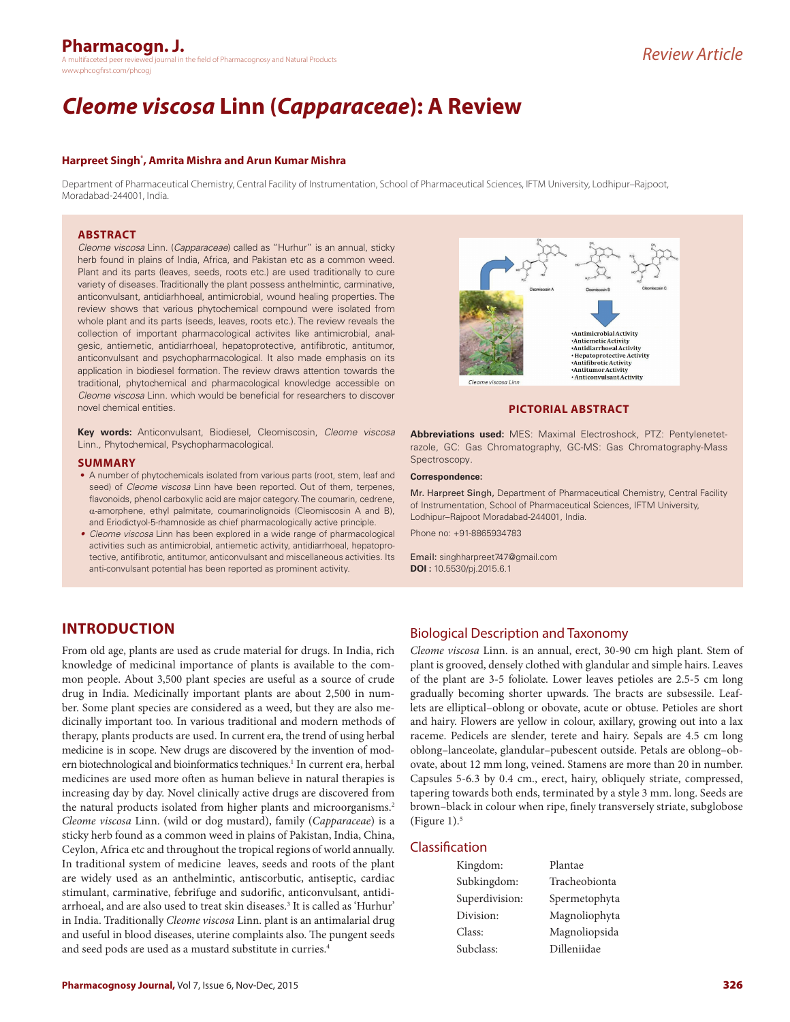#### **Pharmacogn. J.** h the field of Pharmacognosy and Natural Products www.phcogfirst.com/phcog

# *Cleome viscosa* **Linn (***Capparaceae***): A Review**

## **Harpreet Singh\* , Amrita Mishra and Arun Kumar Mishra**

Department of Pharmaceutical Chemistry, Central Facility of Instrumentation, School of Pharmaceutical Sciences, IFTM University, Lodhipur–Rajpoot, Moradabad-244001, India.

## **ABSTRACT**

*Cleome viscosa* Linn. (*Capparaceae*) called as "Hurhur" is an annual, sticky herb found in plains of India, Africa, and Pakistan etc as a common weed. Plant and its parts (leaves, seeds, roots etc.) are used traditionally to cure variety of diseases. Traditionally the plant possess anthelmintic, carminative, anticonvulsant, antidiarhhoeal, antimicrobial, wound healing properties. The review shows that various phytochemical compound were isolated from whole plant and its parts (seeds, leaves, roots etc.). The review reveals the collection of important pharmacological activites like antimicrobial, analgesic, antiemetic, antidiarrhoeal, hepatoprotective, antifibrotic, antitumor, anticonvulsant and psychopharmacological. It also made emphasis on its application in biodiesel formation. The review draws attention towards the traditional, phytochemical and pharmacological knowledge accessible on *Cleome viscosa* Linn. which would be beneficial for researchers to discover novel chemical entities.

**Key words:** Anticonvulsant, Biodiesel, Cleomiscosin, *Cleome viscosa* Linn*.,* Phytochemical, Psychopharmacological.

#### **SUMMARY**

- A number of phytochemicals isolated from various parts (root, stem, leaf and seed) of *Cleome viscosa* Linn have been reported. Out of them, terpenes, flavonoids, phenol carboxylic acid are major category. The coumarin, cedrene, α-amorphene, ethyl palmitate, coumarinolignoids (Cleomiscosin A and B), and Eriodictyol-5-rhamnoside as chief pharmacologically active principle.
- *• Cleome viscosa* Linn has been explored in a wide range of pharmacological activities such as antimicrobial, antiemetic activity, antidiarrhoeal, hepatoprotective, antifibrotic, antitumor, anticonvulsant and miscellaneous activities. Its anti-convulsant potential has been reported as prominent activity.



## **PICTORIAL ABSTRACT**

**Abbreviations used:** MES: Maximal Electroshock, PTZ: Pentylenetetrazole, GC: Gas Chromatography, GC-MS: Gas Chromatography-Mass Spectroscopy*.*

#### **Correspondence:**

Mr. Harpreet Singh, Department of Pharmaceutical Chemistry, Central Facility of Instrumentation, School of Pharmaceutical Sciences, IFTM University, Lodhipur–Rajpoot Moradabad-244001, India.

Phone no: +91-8865934783

Email: singhharpreet747@gmail.com **DOI :** 10.5530/pj.2015.6.1

# **INTRODUCTION**

From old age, plants are used as crude material for drugs. In India, rich knowledge of medicinal importance of plants is available to the common people. About 3,500 plant species are useful as a source of crude drug in India. Medicinally important plants are about 2,500 in number. Some plant species are considered as a weed, but they are also medicinally important too. In various traditional and modern methods of therapy, plants products are used. In current era, the trend of using herbal medicine is in scope. New drugs are discovered by the invention of modern biotechnological and bioinformatics techniques.<sup>1</sup> In current era, herbal medicines are used more often as human believe in natural therapies is increasing day by day. Novel clinically active drugs are discovered from the natural products isolated from higher plants and microorganisms.<sup>2</sup> *Cleome viscosa* Linn. (wild or dog mustard), family (*Capparaceae*) is a sticky herb found as a common weed in plains of Pakistan, India, China, Ceylon, Africa etc and throughout the tropical regions of world annually. In traditional system of medicine leaves, seeds and roots of the plant are widely used as an anthelmintic, antiscorbutic, antiseptic, cardiac stimulant, carminative, febrifuge and sudorific, anticonvulsant, antidiarrhoeal, and are also used to treat skin diseases.3 It is called as 'Hurhur' in India. Traditionally *Cleome viscosa* Linn. plant is an antimalarial drug and useful in blood diseases, uterine complaints also. The pungent seeds and seed pods are used as a mustard substitute in curries.<sup>4</sup>

## Biological Description and Taxonomy

*Cleome viscosa* Linn. is an annual, erect, 30-90 cm high plant. Stem of plant is grooved, densely clothed with glandular and simple hairs. Leaves of the plant are 3-5 foliolate. Lower leaves petioles are 2.5-5 cm long gradually becoming shorter upwards. The bracts are subsessile. Leaflets are elliptical–oblong or obovate, acute or obtuse. Petioles are short and hairy. Flowers are yellow in colour, axillary, growing out into a lax raceme. Pedicels are slender, terete and hairy. Sepals are 4.5 cm long oblong–lanceolate, glandular–pubescent outside. Petals are oblong–obovate, about 12 mm long, veined. Stamens are more than 20 in number. Capsules 5-6.3 by 0.4 cm., erect, hairy, obliquely striate, compressed, tapering towards both ends, terminated by a style 3 mm. long. Seeds are brown–black in colour when ripe, finely transversely striate, subglobose (Figure  $1$ ).<sup>5</sup>

## Classification

| Kingdom:       | Plantae       |
|----------------|---------------|
| Subkingdom:    | Tracheobionta |
| Superdivision: | Spermetophyta |
| Division:      | Magnoliophyta |
| Class:         | Magnoliopsida |
| Subclass:      | Dilleniidae   |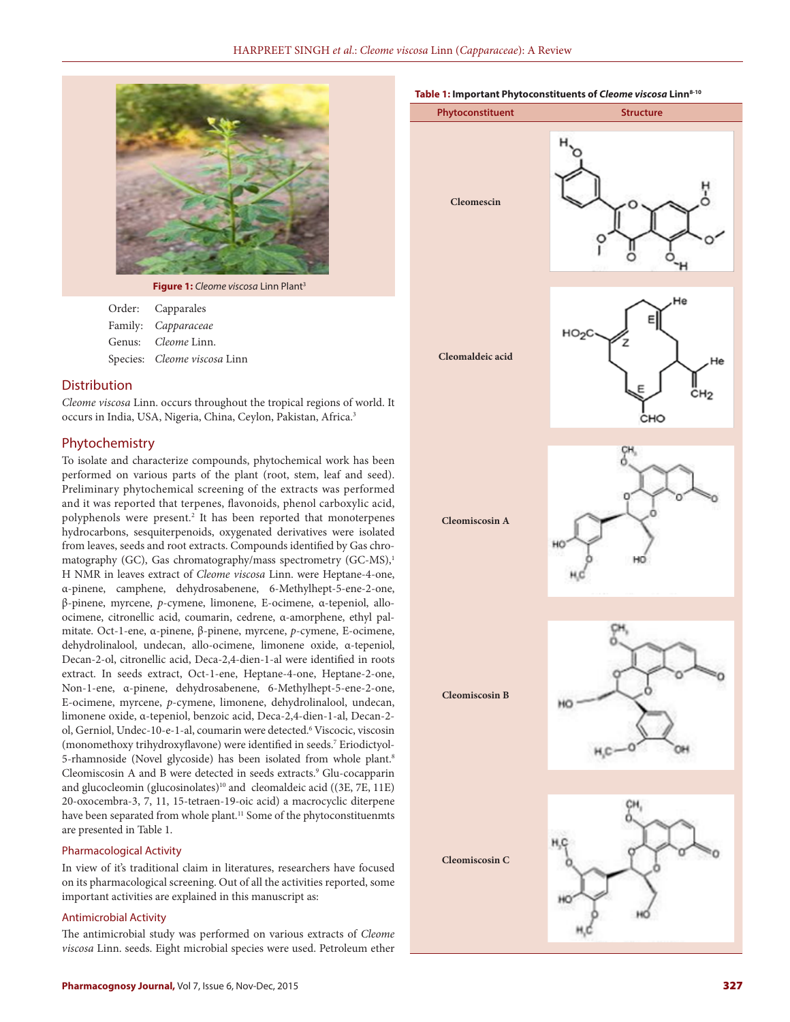

**Figure 1:** *Cleome viscosa* Linn Plant3

| Order: Capparales            |
|------------------------------|
| Family: Capparaceae          |
| Genus: <i>Cleome Linn.</i>   |
| Species: Cleome viscosa Linn |

## **Distribution**

*Cleome viscosa* Linn. occurs throughout the tropical regions of world. It occurs in India, USA, Nigeria, China, Ceylon, Pakistan, Africa.3

## Phytochemistry

To isolate and characterize compounds, phytochemical work has been performed on various parts of the plant (root, stem, leaf and seed). Preliminary phytochemical screening of the extracts was performed and it was reported that terpenes, flavonoids, phenol carboxylic acid, polyphenols were present.2 It has been reported that monoterpenes hydrocarbons, sesquiterpenoids, oxygenated derivatives were isolated from leaves, seeds and root extracts. Compounds identified by Gas chromatography (GC), Gas chromatography/mass spectrometry (GC-MS),<sup>1</sup> H NMR in leaves extract of *Cleome viscosa* Linn. were Heptane-4-one, α-pinene, camphene, dehydrosabenene, 6-Methylhept-5-ene-2-one, β-pinene, myrcene, *p*-cymene, limonene, E-ocimene, α-tepeniol, alloocimene, citronellic acid, coumarin, cedrene, α-amorphene, ethyl palmitate. Oct-1-ene, α-pinene, β-pinene, myrcene, *p*-cymene, E-ocimene, dehydrolinalool, undecan, allo-ocimene, limonene oxide, α-tepeniol, Decan-2-ol, citronellic acid, Deca-2,4-dien-1-al were identified in roots extract. In seeds extract, Oct-1-ene, Heptane-4-one, Heptane-2-one, Non-1-ene, α-pinene, dehydrosabenene, 6-Methylhept-5-ene-2-one, E-ocimene, myrcene, *p*-cymene, limonene, dehydrolinalool, undecan, limonene oxide, α-tepeniol, benzoic acid, Deca-2,4-dien-1-al, Decan-2 ol, Gerniol, Undec-10-e-1-al, coumarin were detected.6 Viscocic, viscosin (monomethoxy trihydroxyflavone) were identified in seeds.7 Eriodictyol-5-rhamnoside (Novel glycoside) has been isolated from whole plant.<sup>8</sup> Cleomiscosin A and B were detected in seeds extracts.<sup>9</sup> Glu-cocapparin and glucocleomin (glucosinolates)<sup>10</sup> and cleomaldeic acid ((3E, 7E, 11E) 20-oxocembra-3, 7, 11, 15-tetraen-19-oic acid) a macrocyclic diterpene have been separated from whole plant.<sup>11</sup> Some of the phytoconstituenmts are presented in Table 1.

## Pharmacological Activity

In view of it's traditional claim in literatures, researchers have focused on its pharmacological screening. Out of all the activities reported, some important activities are explained in this manuscript as:

## Antimicrobial Activity

The antimicrobial study was performed on various extracts of *Cleome viscosa* Linn. seeds. Eight microbial species were used. Petroleum ether



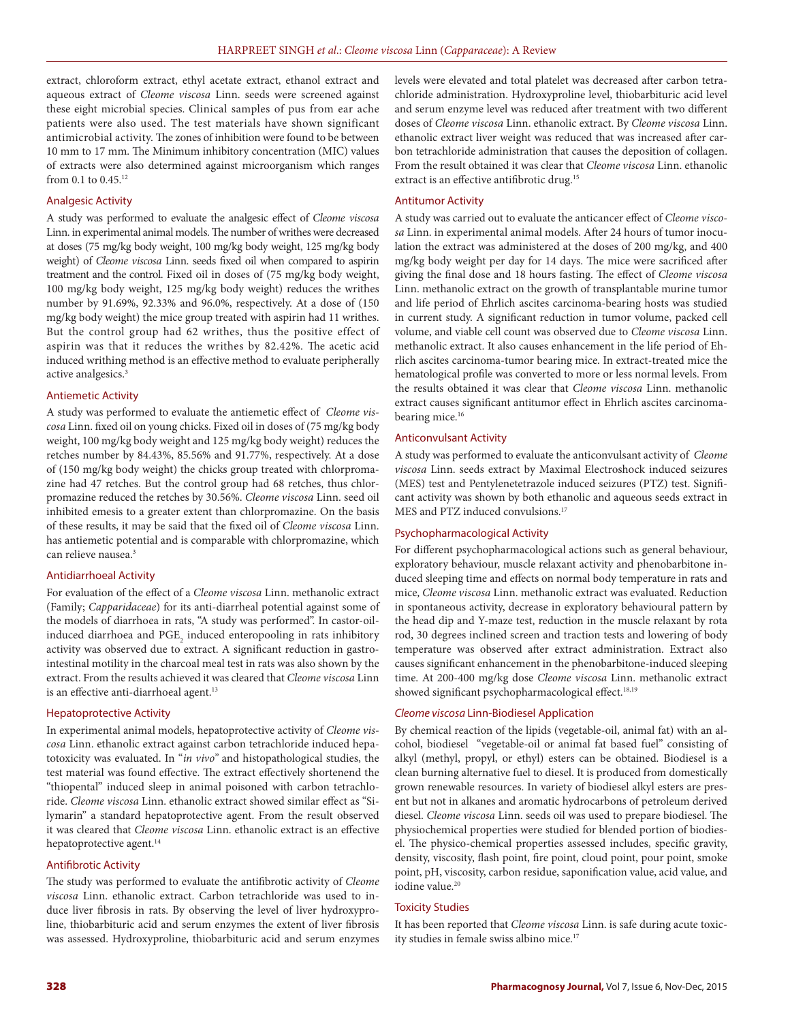extract, chloroform extract, ethyl acetate extract, ethanol extract and aqueous extract of *Cleome viscosa* Linn. seeds were screened against these eight microbial species. Clinical samples of pus from ear ache patients were also used. The test materials have shown significant antimicrobial activity. The zones of inhibition were found to be between 10 mm to 17 mm. The Minimum inhibitory concentration (MIC) values of extracts were also determined against microorganism which ranges from 0.1 to 0.45.12

#### Analgesic Activity

A study was performed to evaluate the analgesic effect of *Cleome viscosa* Linn. in experimental animal models. The number of writhes were decreased at doses (75 mg/kg body weight, 100 mg/kg body weight, 125 mg/kg body weight) of *Cleome viscosa* Linn. seeds fixed oil when compared to aspirin treatment and the control. Fixed oil in doses of (75 mg/kg body weight, 100 mg/kg body weight, 125 mg/kg body weight) reduces the writhes number by 91.69%, 92.33% and 96.0%, respectively. At a dose of (150 mg/kg body weight) the mice group treated with aspirin had 11 writhes. But the control group had 62 writhes, thus the positive effect of aspirin was that it reduces the writhes by 82.42%. The acetic acid induced writhing method is an effective method to evaluate peripherally active analgesics.<sup>3</sup>

## Antiemetic Activity

A study was performed to evaluate the antiemetic effect of *Cleome viscosa* Linn. fixed oil on young chicks. Fixed oil in doses of (75 mg/kg body weight, 100 mg/kg body weight and 125 mg/kg body weight) reduces the retches number by 84.43%, 85.56% and 91.77%, respectively. At a dose of (150 mg/kg body weight) the chicks group treated with chlorpromazine had 47 retches. But the control group had 68 retches, thus chlorpromazine reduced the retches by 30.56%. *Cleome viscosa* Linn. seed oil inhibited emesis to a greater extent than chlorpromazine. On the basis of these results, it may be said that the fixed oil of *Cleome viscosa* Linn. has antiemetic potential and is comparable with chlorpromazine, which can relieve nausea.<sup>3</sup>

#### Antidiarrhoeal Activity

For evaluation of the effect of a *Cleome viscosa* Linn. methanolic extract (Family; *Capparidaceae*) for its anti-diarrheal potential against some of the models of diarrhoea in rats, "A study was performed". In castor-oilinduced diarrhoea and  $\mathrm{PGE}_2$  induced enteropooling in rats inhibitory activity was observed due to extract. A significant reduction in gastrointestinal motility in the charcoal meal test in rats was also shown by the extract. From the results achieved it was cleared that *Cleome viscosa* Linn is an effective anti-diarrhoeal agent.<sup>13</sup>

#### Hepatoprotective Activity

In experimental animal models, hepatoprotective activity of *Cleome viscosa* Linn. ethanolic extract against carbon tetrachloride induced hepatotoxicity was evaluated. In "*in vivo"* and histopathological studies, the test material was found effective. The extract effectively shortenend the "thiopental" induced sleep in animal poisoned with carbon tetrachloride. *Cleome viscosa* Linn. ethanolic extract showed similar effect as "Silymarin" a standard hepatoprotective agent. From the result observed it was cleared that *Cleome viscosa* Linn. ethanolic extract is an effective hepatoprotective agent.<sup>14</sup>

## Antifibrotic Activity

The study was performed to evaluate the antifibrotic activity of *Cleome viscosa* Linn. ethanolic extract. Carbon tetrachloride was used to induce liver fibrosis in rats. By observing the level of liver hydroxyproline, thiobarbituric acid and serum enzymes the extent of liver fibrosis was assessed. Hydroxyproline, thiobarbituric acid and serum enzymes levels were elevated and total platelet was decreased after carbon tetrachloride administration. Hydroxyproline level, thiobarbituric acid level and serum enzyme level was reduced after treatment with two different doses of *Cleome viscosa* Linn. ethanolic extract. By *Cleome viscosa* Linn. ethanolic extract liver weight was reduced that was increased after carbon tetrachloride administration that causes the deposition of collagen. From the result obtained it was clear that *Cleome viscosa* Linn. ethanolic extract is an effective antifibrotic drug.<sup>15</sup>

#### Antitumor Activity

A study was carried out to evaluate the anticancer effect of *Cleome viscosa* Linn. in experimental animal models. After 24 hours of tumor inoculation the extract was administered at the doses of 200 mg/kg, and 400 mg/kg body weight per day for 14 days. The mice were sacrificed after giving the final dose and 18 hours fasting. The effect of *Cleome viscosa* Linn. methanolic extract on the growth of transplantable murine tumor and life period of Ehrlich ascites carcinoma-bearing hosts was studied in current study. A significant reduction in tumor volume, packed cell volume, and viable cell count was observed due to *Cleome viscosa* Linn. methanolic extract. It also causes enhancement in the life period of Ehrlich ascites carcinoma-tumor bearing mice. In extract-treated mice the hematological profile was converted to more or less normal levels. From the results obtained it was clear that *Cleome viscosa* Linn. methanolic extract causes significant antitumor effect in Ehrlich ascites carcinomabearing mice.<sup>16</sup>

#### Anticonvulsant Activity

A study was performed to evaluate the anticonvulsant activity of *Cleome viscosa* Linn. seeds extract by Maximal Electroshock induced seizures (MES) test and Pentylenetetrazole induced seizures (PTZ) test. Significant activity was shown by both ethanolic and aqueous seeds extract in MES and PTZ induced convulsions.<sup>17</sup>

## Psychopharmacological Activity

For different psychopharmacological actions such as general behaviour, exploratory behaviour, muscle relaxant activity and phenobarbitone induced sleeping time and effects on normal body temperature in rats and mice, *Cleome viscosa* Linn. methanolic extract was evaluated. Reduction in spontaneous activity, decrease in exploratory behavioural pattern by the head dip and Y-maze test, reduction in the muscle relaxant by rota rod, 30 degrees inclined screen and traction tests and lowering of body temperature was observed after extract administration. Extract also causes significant enhancement in the phenobarbitone-induced sleeping time. At 200-400 mg/kg dose *Cleome viscosa* Linn. methanolic extract showed significant psychopharmacological effect.<sup>18,19</sup>

#### *Cleome viscosa* Linn-Biodiesel Application

By chemical reaction of the lipids (vegetable-oil, animal fat) with an alcohol, biodiesel "vegetable-oil or animal fat based fuel" consisting of alkyl (methyl, propyl, or ethyl) esters can be obtained. Biodiesel is a clean burning alternative fuel to diesel. It is produced from domestically grown renewable resources. In variety of biodiesel alkyl esters are present but not in alkanes and aromatic hydrocarbons of petroleum derived diesel. *Cleome viscosa* Linn. seeds oil was used to prepare biodiesel. The physiochemical properties were studied for blended portion of biodiesel. The physico-chemical properties assessed includes, specific gravity, density, viscosity, flash point, fire point, cloud point, pour point, smoke point, pH, viscosity, carbon residue, saponification value, acid value, and iodine value.<sup>20</sup>

## Toxicity Studies

It has been reported that *Cleome viscosa* Linn. is safe during acute toxicity studies in female swiss albino mice.17